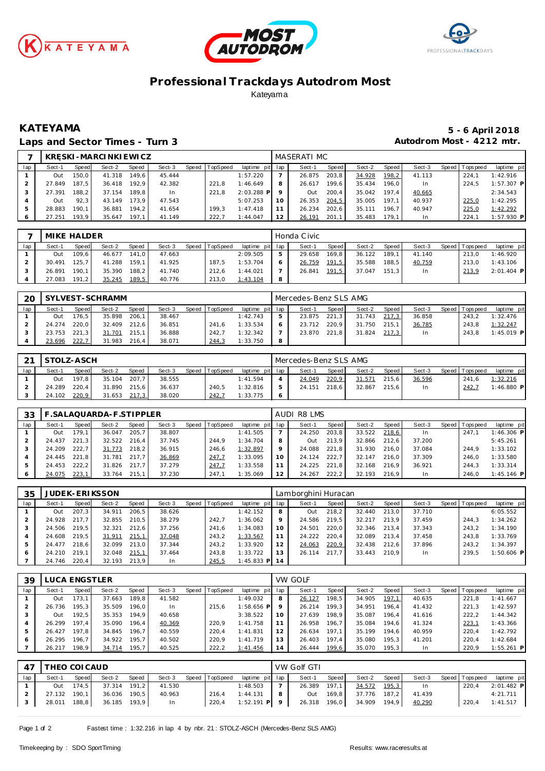





## **Professional Trackdays Autodrom Most** Kateyama

### Laps and Sector Times - Turn 3 **Autodrom Most - 4212 mtr.**

# **KATEYAMA 5 - 6 April 2018**

|     |        |       | KR SKI-MARCINKIEWICZ |       |        |                |                 |    | MASERATI MC |       |        |       |        |                 |              |
|-----|--------|-------|----------------------|-------|--------|----------------|-----------------|----|-------------|-------|--------|-------|--------|-----------------|--------------|
| lap | Sect-1 | Speed | Sect-2               | Speed | Sect-3 | Speed TopSpeed | laptime pit lap |    | Sect-1      | Speed | Sect-2 | Speed | Sect-3 | Speed Tops peed | laptime pit  |
|     | Out    | 150.0 | 41.318               | 149.6 | 45.444 |                | 1:57.220        |    | 26.875      | 203,8 | 34.928 | 198,2 | 41.113 | 224.7           | 1:42.916     |
|     | 27.849 | 187.5 | 36.418               | 192.9 | 42.382 | 221.8          | 1:46.649        |    | 26.617      | 199.6 | 35.434 | 196.0 | In     | 224.5           | $1:57.307$ P |
|     | 27.391 | 188.2 | 37.154               | 189.8 | In.    | 221.8          | $2:03.288$ P    |    | Out         | 200.4 | 35.042 | 197.4 | 40.665 |                 | 2:34.543     |
|     | Out    | 92.3  | 43.149               | 173.9 | 47.543 |                | 5:07.253        | 10 | 26.353      | 204,5 | 35.005 | 197.1 | 40.937 | 225,0           | 1:42.295     |
|     | 28.883 | 190.1 | 36.881               | 194.2 | 41.654 | 199.3          | 1:47.418        |    | 26.234      | 202,6 | 35.111 | 196.7 | 40.947 | 225,0           | 1:42.292     |
| 6   | 27.251 | 193.9 | 35.647               | 197.1 | 41.149 | 222.7          | 1:44.047        |    | 26.191      | 201,1 | 35.483 | 179.1 | In     | 224.7           | $1:57.930$ P |

|     | MIKE HALDER |              |        |       |        |       |          |                 |   | Honda Civic |       |        |       |        |                 |              |
|-----|-------------|--------------|--------|-------|--------|-------|----------|-----------------|---|-------------|-------|--------|-------|--------|-----------------|--------------|
| lap | Sect-1      | <b>Speed</b> | Sect-2 | Speed | Sect-3 | Speed | TopSpeed | laptime pit lap |   | Sect-1      | Speed | Sect-2 | Speed | Sect-3 | Speed Tops peed | laptime pit  |
|     | Out         | 109.6        | 46.677 | 141.0 | 47.663 |       |          | 2:09.505        |   | 29.658      | 169.8 | 36.122 | 189.1 | 41.140 | 213.0           | 1:46.920     |
|     | 30.491      | 125.7        | 41.288 | 159.1 | 41.925 |       | 187.5    | 1:53.704        |   | 26.759      | 191,5 | 35.588 | 188.5 | 40.759 | 213.0           | 1:43.106     |
|     | 26.891      | 190.1        | 35.390 | 188.2 | 41.740 |       | 212.6    | 1:44.021        |   | 26.841      | 191,5 | 37.047 | 151.3 | In.    | 213.9           | $2:01.404$ P |
|     | 27.083      | 191.2        | 35.245 | 189,5 | 40.776 |       | 213.0    | 1:43.104        | 8 |             |       |        |       |        |                 |              |

| <b>2C</b> |        |           | SYLVEST-SCHRAMM |              |        |       |          |                 |    | Mercedes-Benz SLS AMG |              |        |         |        |         |            |              |
|-----------|--------|-----------|-----------------|--------------|--------|-------|----------|-----------------|----|-----------------------|--------------|--------|---------|--------|---------|------------|--------------|
| lap       | Sect-1 | Speed     | Sect-2          | <b>Speed</b> | Sect-3 | Speed | TopSpeed | laptime pit lap |    | Sect-1                | <b>Speed</b> | Sect-2 | Speed I | Sect-3 | Speed I | T ops peed | laptime pit  |
|           | Out    | 176.51    | 35.898          | 206.1        | 38.467 |       |          | 1:42.743        | b. | 23.875                | 221.3        | 31.743 | 217.3   | 36.858 |         | 243.2      | 1:32.476     |
|           | 24.274 | 220.0     | 32.409          | 212.6        | 36.851 |       | 241.6    | 1:33.534        | O  | 23.712                | 220.9        | 31.750 | 215.    | 36.785 |         | 243.8      | 1:32.247     |
|           | 23.753 | 221<br>.3 | 31.701          | 215.1        | 36.888 |       | 242.     | 1:32.342        |    | 23.870                | 221.8        | 31.824 | 217.3   | In     |         | 243.8      | $1:45.019$ P |
|           | 23.696 | 222,7     | 31.983          | 216.4        | 38.071 |       | 244,3    | 1:33.750        | 8  |                       |              |        |         |        |         |            |              |

| $\sim$ | STOLZ-ASCH |       |              |              |        |       |          |                 | Mercedes-Benz SLS AMG |       |        |         |        |                |              |
|--------|------------|-------|--------------|--------------|--------|-------|----------|-----------------|-----------------------|-------|--------|---------|--------|----------------|--------------|
| lap    | Sect-1     | Speed | Sect-2       | <b>Speed</b> | Sect-3 | Speed | TopSpeed | laptime pit lap | Sect-1                | Speed | Sect-2 | Speed I | Sect-3 | Speed Topspeed | laptime pit  |
|        | Out        | 197.8 | 35.104       | 207.7        | 38.555 |       |          | 1:41.594        | 24.049                | 220,9 | 31.571 | 215.6   | 36.596 | 241.6          | 1:32.216     |
|        | 24.289     | 220.4 | 31.890 215.6 |              | 36.637 |       | 240.5    | 1:32.816        | 24.151                | 218.6 | 32.867 | 215.6   | In.    | 242.7          | $1:46.880$ P |
|        | 24.102     | 220,9 | 31.653       | 217.3        | 38.020 |       | 242,7    | 1:33.775        |                       |       |        |         |        |                |              |

| 33  |        |       | .SALAQUARDA-F.STIPPLER |       |        |       |          |                 | AUDI R8 LMS |       |        |       |        |                |              |
|-----|--------|-------|------------------------|-------|--------|-------|----------|-----------------|-------------|-------|--------|-------|--------|----------------|--------------|
| lap | Sect-1 | Speed | Sect-2                 | Speed | Sect-3 | Speed | TopSpeed | laptime pit lap | Sect-1      | Speed | Sect-2 | Speed | Sect-3 | Speed Topspeed | laptime pit  |
|     | Out    | 179.1 | 36.047                 | 205.7 | 38.807 |       |          | 1:41.505        | 24.250      | 203,8 | 33.522 | 218,6 | In.    | 247.7          | $1:46.306$ P |
|     | 24.437 | 221.3 | 32.522                 | 216.4 | 37.745 |       | 244.9    | 1:34.704        | Out         | 213.9 | 32.866 | 212.6 | 37.200 |                | 5:45.261     |
|     | 24.209 | 222.7 | 31.773                 | 218.2 | 36.915 |       | 246.6    | 1:32.897        | 24.088      | 221.8 | 31.930 | 216.0 | 37.084 | 244.9          | 1:33.102     |
|     | 24.445 | 221.8 | 31.781                 | 217.7 | 36.869 |       | 247.7    | 1:33.095        | 24.124      | 222.7 | 32.147 | 216.0 | 37.309 | 246.0          | 1:33.580     |
|     | 24.453 | 222.2 | 31.826                 | 217.7 | 37.279 |       | 247,7    | 1:33.558        | 24.225      | 221.8 | 32.168 | 216.9 | 36.921 | 244.3          | 1:33.314     |
| 6   | 24.075 | 223,1 | 33.764                 | 215.1 | 37.230 |       | 247.1    | 1:35.069        | 24.267      | 222,2 | 32.193 | 216.9 | In     | 246.0          | $1:45.146$ P |

| 35  |        |       | <b>JUDEK-ERIKSSON</b> |       |        |       |                 |                 |    | Lamborghini Huracan |       |        |       |        |                 |              |
|-----|--------|-------|-----------------------|-------|--------|-------|-----------------|-----------------|----|---------------------|-------|--------|-------|--------|-----------------|--------------|
| lap | Sect-1 | Speed | Sect-2                | Speed | Sect-3 | Speed | <b>TopSpeed</b> | laptime pit lap |    | Sect-1              | Speed | Sect-2 | Speed | Sect-3 | Speed Tops peed | laptime pit  |
|     | Out    | 207.3 | 34.911                | 206.5 | 38.626 |       |                 | 1:42.152        |    | Out                 | 218,2 | 32.440 | 213.0 | 37.710 |                 | 6:05.552     |
|     | 24.928 | 217.7 | 32.855                | 210.5 | 38.279 |       | 242.7           | 1:36.062        |    | 24.586              | 219.5 | 32.217 | 213.9 | 37.459 | 244.3           | 1:34.262     |
|     | 24.506 | 219.5 | 32.321                | 212.6 | 37.256 |       | 241.6           | 1:34.083        | 10 | 24.501              | 220.0 | 32.346 | 213.4 | 37.343 | 243.2           | 1:34.190     |
|     | 24.608 | 219.5 | 31.911                | 215,1 | 37.048 |       | 243.2           | 1:33.567        |    | 24.222              | 220.4 | 32.089 | 213.4 | 37.458 | 243.8           | 1:33.769     |
|     | 24.477 | 218.6 | 32.099                | 213.0 | 37.344 |       | 243.2           | 1:33.920        | 12 | 24.063              | 220,9 | 32.438 | 212.6 | 37.896 | 243.2           | 1:34.397     |
|     | 24.210 | 219.1 | 32.048                | 215,1 | 37.464 |       | 243.8           | 1:33.722        | 13 | 26.114              | 217.7 | 33.443 | 210.9 | In.    | 239.5           | $1:50.606$ P |
|     | 24.746 | 220.4 | 32.193                | 213.9 | In     |       | 245,5           | 1:45.833 PL     | 14 |                     |       |        |       |        |                 |              |

| 39      |        | LUCA ENGSTLER |        |        |        |       |         |             |     | <b>VW GOLF</b> |       |        |       |        |       |            |              |
|---------|--------|---------------|--------|--------|--------|-------|---------|-------------|-----|----------------|-------|--------|-------|--------|-------|------------|--------------|
| lap     | Sect-1 | Speed         | Sect-2 | Speed  | Sect-3 | Speed | opSpeed | laptime pit | lap | Sect-1         | Speed | Sect-2 | Speed | Sect-3 | Speed | T ops peed | laptime pit  |
|         | Out    | 173.          | 37.663 | 189, 8 | 41.582 |       |         | 1:49.032    | 8   | 26.127         | 198.5 | 34.905 | 197,1 | 40.635 |       | 221.8      | 1:41.667     |
|         | 26.736 | 195.3         | 35.509 | 196.0  | In.    |       | 215.6   | 1:58.656 PI |     | 26.214         | 199.3 | 34.951 | 196.4 | 41.432 |       | 221.3      | 1:42.597     |
|         | Out    | 192.5         | 35.353 | 194.9  | 40.658 |       |         | 3:38.522    | 10  | 27.639         | 198.9 | 35.087 | 196.4 | 41.616 |       | 222.2      | 1:44.342     |
|         | 26.299 | 197.4         | 35.090 | 196,4  | 40.369 |       | 220.9   | 1:41.758    |     | 26.958         | 196.7 | 35.084 | 194.6 | 41.324 |       | 223,1      | 1:43.366     |
| 5       | 26.427 | 197.8         | 34.845 | 196.7  | 40.559 |       | 220.4   | 1:41.831    | 12  | 26.634         | 197.1 | 35.199 | 194.6 | 40.959 |       | 220.4      | 1:42.792     |
| $\circ$ | 26.295 | 196.7         | 34.922 | 195.7  | 40.502 |       | 220.9   | 1:41.719    | 13  | 26.403         | 197.4 | 35.080 | 195.3 | 41.201 |       | 220.4      | 1:42.684     |
|         | 26.217 | 198.9         | 34.714 | 195,7  | 40.525 |       | 222,2   | 1:41.456    | 14  | 26.444         | 199,6 | 35.070 | 195.3 | In     |       | 220.9      | $1:55.261$ P |

| 47  | THEO COI CAUD |       |              |       |        |                |                 |                            | VW Golf GTI  |           |                           |       |        |                   |             |
|-----|---------------|-------|--------------|-------|--------|----------------|-----------------|----------------------------|--------------|-----------|---------------------------|-------|--------|-------------------|-------------|
| lap | Sect-1        | Speed | Sect-2       | Speed | Sect-3 | Speed TopSpeed | laptime pit lap |                            | Sect-1       | Speed     | Sect-2                    | Speed | Sect-3 | Speed   Tops peed | laptime pit |
|     | Out           | 174.5 | 37.314 191,2 |       | 41.530 |                | 1:48.503        |                            | 26.389 197,1 |           | 34.572                    | 195,3 | In.    | 220.4             | 2:01.482 P  |
|     | 27.132 190.1  |       | 36.036 190,5 |       | 40.963 | 216.4          | 1:44.131        | $\overline{\phantom{0}}$ 8 |              | Out 169,8 | 37.776                    | 187.2 | 41.439 |                   | 4:21.711    |
|     | 28.011        | 188,8 | 36.185 193,9 |       | In     | 220,4          | $1:52.191$ P 9  |                            |              |           | 26.318 196,0 34.909 194,9 |       | 40.290 | 220.4             | 1:41.517    |